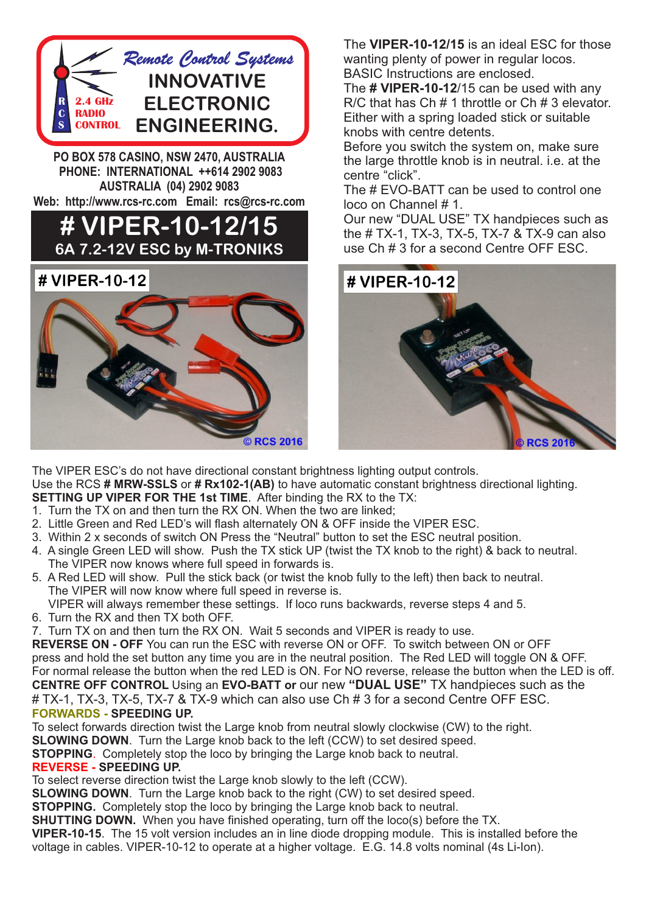

**PO BOX 578 CASINO, NSW 2470, AUSTRALIA PHONE: INTERNATIONAL ++614 2902 9083 AUSTRALIA (04) 2902 9083 Web: http://www.rcs-rc.com Email: rcs@rcs-rc.com**

**# VIPER-10-12/15 6A 7.2-12V ESC by M-TRONIKS**



The **VIPER-10-12/15** is an ideal ESC for those wanting plenty of power in regular locos. BASIC Instructions are enclosed.

The **# VIPER-10-12**/15 can be used with any R/C that has Ch # 1 throttle or Ch # 3 elevator. Either with a spring loaded stick or suitable knobs with centre detents.

Before you switch the system on, make sure the large throttle knob is in neutral. i.e. at the centre "click".

The # EVO-BATT can be used to control one loco on Channel # 1.

Our new "DUAL USE" TX handpieces such as the # TX-1, TX-3, TX-5, TX-7 & TX-9 can also use Ch # 3 for a second Centre OFF ESC.

## # VIPER-10-12

The VIPER ESC's do not have directional constant brightness lighting output controls. Use the RCS **# MRW-SSLS** or **# Rx102-1(AB)** to have automatic constant brightness directional lighting. **SETTING UP VIPER FOR THE 1st TIME**. After binding the RX to the TX:

- 1. Turn the TX on and then turn the RX ON. When the two are linked;
- 2. Little Green and Red LED's will flash alternately ON & OFF inside the VIPER ESC.
- 3. Within 2 x seconds of switch ON Press the "Neutral" button to set the ESC neutral position.
- 4. A single Green LED will show. Push the TX stick UP (twist the TX knob to the right) & back to neutral. The VIPER now knows where full speed in forwards is.
- 5. A Red LED will show. Pull the stick back (or twist the knob fully to the left) then back to neutral. The VIPER will now know where full speed in reverse is. VIPER will always remember these settings. If loco runs backwards, reverse steps 4 and 5.
- 6. Turn the RX and then TX both OFF.
- 7. Turn TX on and then turn the RX ON. Wait 5 seconds and VIPER is ready to use.

**REVERSE ON - OFF** You can run the ESC with reverse ON or OFF. To switch between ON or OFF press and hold the set button any time you are in the neutral position. The Red LED will toggle ON & OFF. For normal release the button when the red LED is ON. For NO reverse, release the button when the LED is off. **CENTRE OFF CONTROL** Using an **EVO-BATT or** our new **"DUAL USE"** TX handpieces such as the # TX-1, TX-3, TX-5, TX-7 & TX-9 which can also use Ch # 3 for a second Centre OFF ESC. **FORWARDS - SPEEDING UP.**

To select forwards direction twist the Large knob from neutral slowly clockwise (CW) to the right.

**SLOWING DOWN**. Turn the Large knob back to the left (CCW) to set desired speed.

**STOPPING**. Completely stop the loco by bringing the Large knob back to neutral.

## **REVERSE - SPEEDING UP.**

To select reverse direction twist the Large knob slowly to the left (CCW).

**SLOWING DOWN.** Turn the Large knob back to the right (CW) to set desired speed.

**STOPPING.** Completely stop the loco by bringing the Large knob back to neutral.

**SHUTTING DOWN.** When you have finished operating, turn off the loco(s) before the TX.

**VIPER-10-15**. The 15 volt version includes an in line diode dropping module. This is installed before the voltage in cables. VIPER-10-12 to operate at a higher voltage. E.G. 14.8 volts nominal (4s Li-Ion).